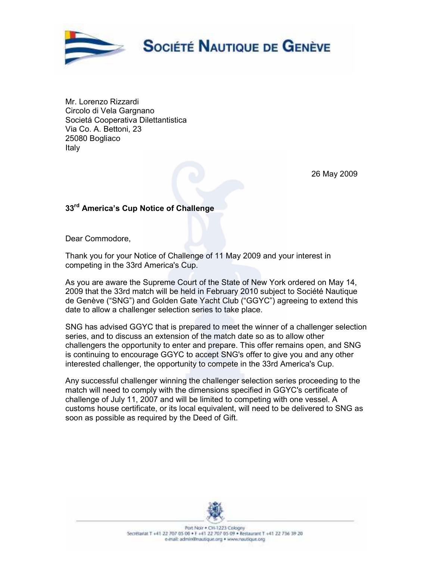

Mr. Lorenzo Rizzardi Circolo di Vela Gargnano Societá Cooperativa Dilettantistica Via Co. A. Bettoni, 23 25080 Bogliaco Italy

26 May 2009

## 33<sup>rd</sup> America's Cup Notice of Challenge

Dear Commodore,

Thank you for your Notice of Challenge of 11 May 2009 and your interest in competing in the 33rd America's Cup.

As you are aware the Supreme Court of the State of New York ordered on May 14, 2009 that the 33rd match will be held in February 2010 subject to Société Nautique de Genève ("SNG") and Golden Gate Yacht Club ("GGYC") agreeing to extend this date to allow a challenger selection series to take place.

SNG has advised GGYC that is prepared to meet the winner of a challenger selection series, and to discuss an extension of the match date so as to allow other challengers the opportunity to enter and prepare. This offer remains open, and SNG is continuing to encourage GGYC to accept SNG's offer to give you and any other interested challenger, the opportunity to compete in the 33rd America's Cup.

Any successful challenger winning the challenger selection series proceeding to the match will need to comply with the dimensions specified in GGYC's certificate of challenge of July 11, 2007 and will be limited to competing with one vessel. A customs house certificate, or its local equivalent, will need to be delivered to SNG as soon as possible as required by the Deed of Gift.